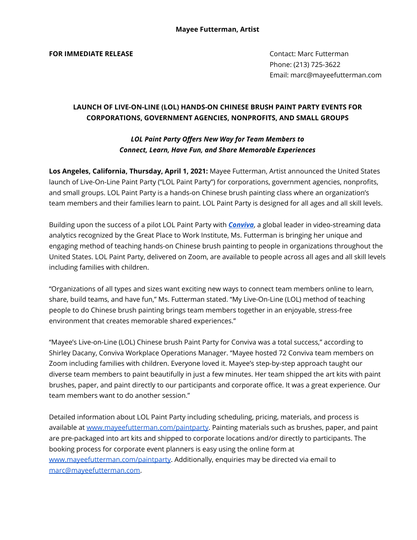## **FOR IMMEDIATE RELEASE CONTACT: Marc Futterman**

Phone: (213) 725-3622 Email: marc@mayeefutterman.com

## **LAUNCH OF LIVE-ON-LINE (LOL) HANDS-ON CHINESE BRUSH PAINT PARTY EVENTS FOR CORPORATIONS, GOVERNMENT AGENCIES, NONPROFITS, AND SMALL GROUPS**

## *LOL Paint Party Offers New Way for Team Members to Connect, Learn, Have Fun, and Share Memorable Experiences*

**Los Angeles, California, Thursday, April 1, 2021:** Mayee Futterman, Artist announced the United States launch of Live-On-Line Paint Party ("LOL Paint Party") for corporations, government agencies, nonprofits, and small groups. LOL Paint Party is a hands-on Chinese brush painting class where an organization's team members and their families learn to paint. LOL Paint Party is designed for all ages and all skill levels.

Building upon the success of a pilot LOL Paint Party with *[Conviva](https://www.conviva.com/)*, a global leader in video-streaming data analytics recognized by the Great Place to Work Institute, Ms. Futterman is bringing her unique and engaging method of teaching hands-on Chinese brush painting to people in organizations throughout the United States. LOL Paint Party, delivered on Zoom, are available to people across all ages and all skill levels including families with children.

"Organizations of all types and sizes want exciting new ways to connect team members online to learn, share, build teams, and have fun," Ms. Futterman stated. "My Live-On-Line (LOL) method of teaching people to do Chinese brush painting brings team members together in an enjoyable, stress-free environment that creates memorable shared experiences."

"Mayee's Live-on-Line (LOL) Chinese brush Paint Party for Conviva was a total success," according to Shirley Dacany, Conviva Workplace Operations Manager. "Mayee hosted 72 Conviva team members on Zoom including families with children. Everyone loved it. Mayee's step-by-step approach taught our diverse team members to paint beautifully in just a few minutes. Her team shipped the art kits with paint brushes, paper, and paint directly to our participants and corporate office. It was a great experience. Our team members want to do another session."

Detailed information about LOL Paint Party including scheduling, pricing, materials, and process is available at [www.mayeefutterman.com/paintparty](http://www.mayeefutterman.com/events). Painting materials such as brushes, paper, and paint are pre-packaged into art kits and shipped to corporate locations and/or directly to participants. The booking process for corporate event planners is easy using the online form at [www.mayeefutterman.com/paintparty.](http://www.mayeefutterman.com/events-form) Additionally, enquiries may be directed via email to [marc@mayeefutterman.com.](mailto:marc@mayeefutterman.com)